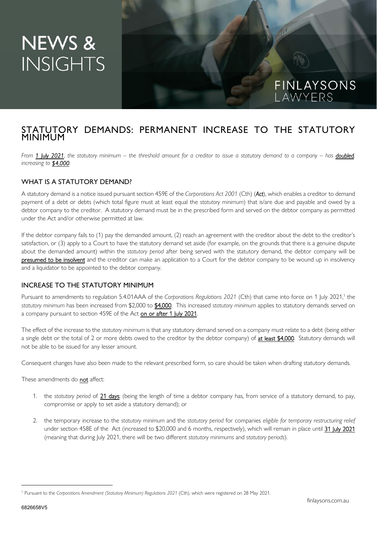# NEWS & **INSIGHTS**

## STATUTORY DEMANDS: PERMANENT INCREASE TO THE STATUTORY MINIMUM

*From 1 July 2021, the statutory minimum – the threshold amount for a creditor to issue a statutory demand to a company – has doubled, increasing to \$4,000.* 

#### WHAT IS A STATUTORY DEMAND?

A statutory demand is a notice issued pursuant section 459E of the *Corporations Act 2001* (Cth) (*Act*), which enables a creditor to demand payment of a debt or debts (which total figure must at least equal the *statutory minimum*) that is/are due and payable and owed by a debtor company to the creditor. A statutory demand must be in the prescribed form and served on the debtor company as permitted under the Act and/or otherwise permitted at law.

If the debtor company fails to (1) pay the demanded amount, (2) reach an agreement with the creditor about the debt to the creditor's satisfaction, or (3) apply to a Court to have the statutory demand set aside (for example, on the grounds that there is a genuine dispute about the demanded amount) within the *statutory period* after being served with the statutory demand, the debtor company will be presumed to be insolvent and the creditor can make an application to a Court for the debtor company to be wound up in insolvency and a liquidator to be appointed to the debtor company.

#### INCREASE TO THE STATUTORY MINIMUM

Pursuant to amendments to regulation 5.4.01AAA of the *Corporations Regulations 2021* (Cth) that came into force on 1 July 2021,<sup>1</sup> the *statutory minimum* has been increased from \$2,000 to \$4,000. This increased *statutory minimum* applies to statutory demands served on a company pursuant to section 459E of the Act on or after 1 July 2021.

The effect of the increase to the *statutory minimum* is that any statutory demand served on a company must relate to a debt (being either a single debt or the total of 2 or more debts owed to the creditor by the debtor company) of at least \$4,000. Statutory demands will not be able to be issued for any lesser amount.

Consequent changes have also been made to the relevant prescribed form, so care should be taken when drafting statutory demands.

These amendments do not affect:

- 1. the *statutory period* of 21 days; (being the length of time a debtor company has, from service of a statutory demand, to pay, compromise or apply to set aside a statutory demand); or
- 2. the temporary increase to the *statutory minimum* and the *statutory period* for companies *eligible for temporary restructuring relief* under section 458E of the Act (increased to \$20,000 and 6 months, respectively), which will remain in place until 31 July 2021 (meaning that during July 2021, there will be two different *statutory minimums* and *statutory periods*).

FINLAYSONS

LAWYERS

<sup>1</sup> Pursuant to the *Corporations Amendment (Statutory Minimum) Regulations 2021* (Cth), which were registered on 28 May 2021.